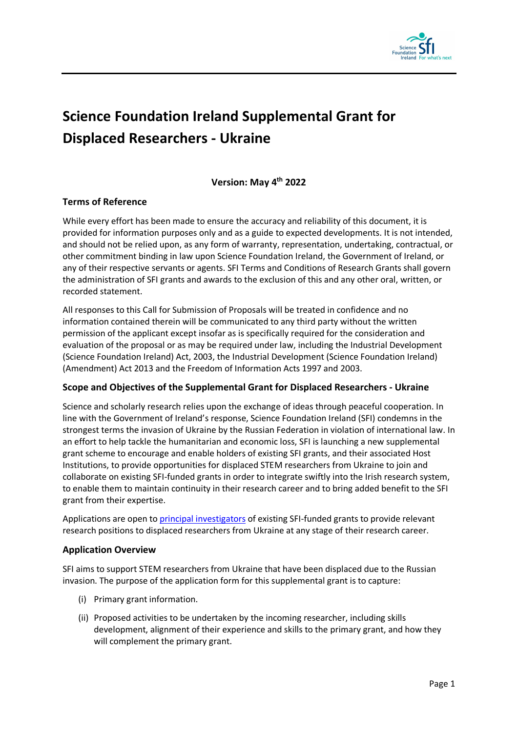

# **Science Foundation Ireland Supplemental Grant for Displaced Researchers - Ukraine**

## **Version: May 4th 2022**

## **Terms of Reference**

While every effort has been made to ensure the accuracy and reliability of this document, it is provided for information purposes only and as a guide to expected developments. It is not intended, and should not be relied upon, as any form of warranty, representation, undertaking, contractual, or other commitment binding in law upon Science Foundation Ireland, the Government of Ireland, or any of their respective servants or agents. SFI Terms and Conditions of Research Grants shall govern the administration of SFI grants and awards to the exclusion of this and any other oral, written, or recorded statement.

All responses to this Call for Submission of Proposals will be treated in confidence and no information contained therein will be communicated to any third party without the written permission of the applicant except insofar as is specifically required for the consideration and evaluation of the proposal or as may be required under law, including the Industrial Development (Science Foundation Ireland) Act, 2003, the Industrial Development (Science Foundation Ireland) (Amendment) Act 2013 and the Freedom of Information Acts 1997 and 2003.

## **Scope and Objectives of the Supplemental Grant for Displaced Researchers - Ukraine**

Science and scholarly research relies upon the exchange of ideas through peaceful cooperation. In line with the Government of Ireland's response, Science Foundation Ireland (SFI) condemns in the strongest terms the invasion of Ukraine by the Russian Federation in violation of international law. In an effort to help tackle the humanitarian and economic loss, SFI is launching a new supplemental grant scheme to encourage and enable holders of existing SFI grants, and their associated Host Institutions, to provide opportunities for displaced STEM researchers from Ukraine to join and collaborate on existing SFI-funded grants in order to integrate swiftly into the Irish research system, to enable them to maintain continuity in their research career and to bring added benefit to the SFI grant from their expertise.

Applications are open to [principal investigators](https://www.sfi.ie/funding/sfi-policies-and-guidance/sfi-general-terms-and-conditions/SFI-Board-approved-GTCs-2019.pdf) of existing SFI-funded grants to provide relevant research positions to displaced researchers from Ukraine at any stage of their research career.

## **Application Overview**

SFI aims to support STEM researchers from Ukraine that have been displaced due to the Russian invasion. The purpose of the application form for this supplemental grant is to capture:

- (i) Primary grant information.
- (ii) Proposed activities to be undertaken by the incoming researcher, including skills development, alignment of their experience and skills to the primary grant, and how they will complement the primary grant.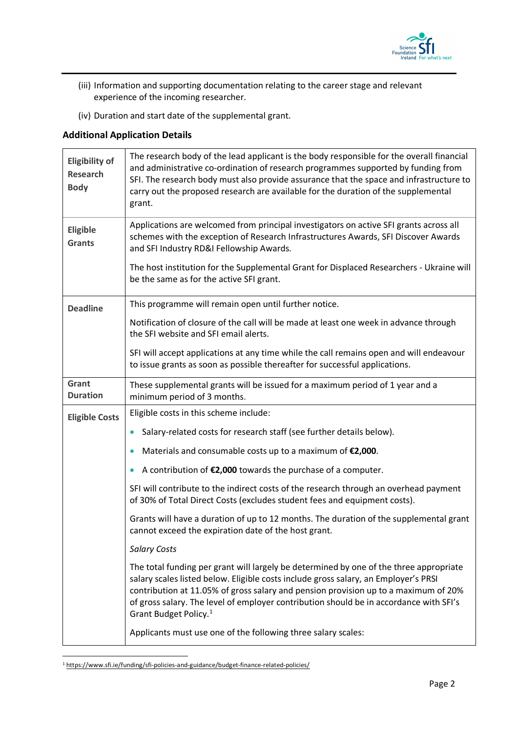

- (iii) Information and supporting documentation relating to the career stage and relevant experience of the incoming researcher.
- (iv) Duration and start date of the supplemental grant.

# **Additional Application Details**

| <b>Eligibility of</b><br><b>Research</b><br><b>Body</b> | The research body of the lead applicant is the body responsible for the overall financial<br>and administrative co-ordination of research programmes supported by funding from<br>SFI. The research body must also provide assurance that the space and infrastructure to<br>carry out the proposed research are available for the duration of the supplemental<br>grant.                           |
|---------------------------------------------------------|-----------------------------------------------------------------------------------------------------------------------------------------------------------------------------------------------------------------------------------------------------------------------------------------------------------------------------------------------------------------------------------------------------|
| <b>Eligible</b><br><b>Grants</b>                        | Applications are welcomed from principal investigators on active SFI grants across all<br>schemes with the exception of Research Infrastructures Awards, SFI Discover Awards<br>and SFI Industry RD&I Fellowship Awards.                                                                                                                                                                            |
|                                                         | The host institution for the Supplemental Grant for Displaced Researchers - Ukraine will<br>be the same as for the active SFI grant.                                                                                                                                                                                                                                                                |
| <b>Deadline</b>                                         | This programme will remain open until further notice.                                                                                                                                                                                                                                                                                                                                               |
|                                                         | Notification of closure of the call will be made at least one week in advance through<br>the SFI website and SFI email alerts.                                                                                                                                                                                                                                                                      |
|                                                         | SFI will accept applications at any time while the call remains open and will endeavour<br>to issue grants as soon as possible thereafter for successful applications.                                                                                                                                                                                                                              |
| Grant<br><b>Duration</b>                                | These supplemental grants will be issued for a maximum period of 1 year and a<br>minimum period of 3 months.                                                                                                                                                                                                                                                                                        |
| <b>Eligible Costs</b>                                   | Eligible costs in this scheme include:                                                                                                                                                                                                                                                                                                                                                              |
|                                                         | Salary-related costs for research staff (see further details below).<br>$\bullet$                                                                                                                                                                                                                                                                                                                   |
|                                                         | Materials and consumable costs up to a maximum of $E2,000$ .                                                                                                                                                                                                                                                                                                                                        |
|                                                         | A contribution of €2,000 towards the purchase of a computer.                                                                                                                                                                                                                                                                                                                                        |
|                                                         | SFI will contribute to the indirect costs of the research through an overhead payment<br>of 30% of Total Direct Costs (excludes student fees and equipment costs).                                                                                                                                                                                                                                  |
|                                                         | Grants will have a duration of up to 12 months. The duration of the supplemental grant<br>cannot exceed the expiration date of the host grant.                                                                                                                                                                                                                                                      |
|                                                         | <b>Salary Costs</b>                                                                                                                                                                                                                                                                                                                                                                                 |
|                                                         | The total funding per grant will largely be determined by one of the three appropriate<br>salary scales listed below. Eligible costs include gross salary, an Employer's PRSI<br>contribution at 11.05% of gross salary and pension provision up to a maximum of 20%<br>of gross salary. The level of employer contribution should be in accordance with SFI's<br>Grant Budget Policy. <sup>1</sup> |
|                                                         | Applicants must use one of the following three salary scales:                                                                                                                                                                                                                                                                                                                                       |

<span id="page-1-0"></span><sup>1</sup> <https://www.sfi.ie/funding/sfi-policies-and-guidance/budget-finance-related-policies/>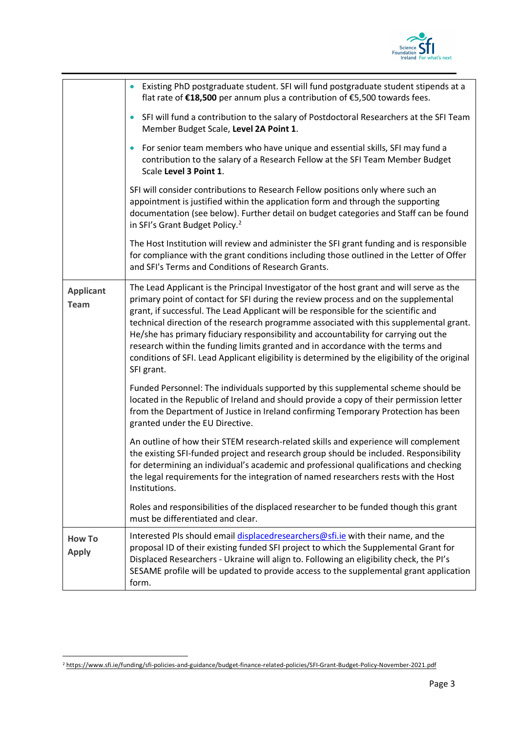

|                                 | Existing PhD postgraduate student. SFI will fund postgraduate student stipends at a<br>$\bullet$<br>flat rate of €18,500 per annum plus a contribution of €5,500 towards fees.                                                                                                                                                                                                                                                                                                                                                                                                                                                                            |
|---------------------------------|-----------------------------------------------------------------------------------------------------------------------------------------------------------------------------------------------------------------------------------------------------------------------------------------------------------------------------------------------------------------------------------------------------------------------------------------------------------------------------------------------------------------------------------------------------------------------------------------------------------------------------------------------------------|
|                                 | SFI will fund a contribution to the salary of Postdoctoral Researchers at the SFI Team<br>$\bullet$<br>Member Budget Scale, Level 2A Point 1.                                                                                                                                                                                                                                                                                                                                                                                                                                                                                                             |
|                                 | For senior team members who have unique and essential skills, SFI may fund a<br>$\bullet$<br>contribution to the salary of a Research Fellow at the SFI Team Member Budget<br>Scale Level 3 Point 1.                                                                                                                                                                                                                                                                                                                                                                                                                                                      |
|                                 | SFI will consider contributions to Research Fellow positions only where such an<br>appointment is justified within the application form and through the supporting<br>documentation (see below). Further detail on budget categories and Staff can be found<br>in SFI's Grant Budget Policy. <sup>2</sup>                                                                                                                                                                                                                                                                                                                                                 |
|                                 | The Host Institution will review and administer the SFI grant funding and is responsible<br>for compliance with the grant conditions including those outlined in the Letter of Offer<br>and SFI's Terms and Conditions of Research Grants.                                                                                                                                                                                                                                                                                                                                                                                                                |
| <b>Applicant</b><br><b>Team</b> | The Lead Applicant is the Principal Investigator of the host grant and will serve as the<br>primary point of contact for SFI during the review process and on the supplemental<br>grant, if successful. The Lead Applicant will be responsible for the scientific and<br>technical direction of the research programme associated with this supplemental grant.<br>He/she has primary fiduciary responsibility and accountability for carrying out the<br>research within the funding limits granted and in accordance with the terms and<br>conditions of SFI. Lead Applicant eligibility is determined by the eligibility of the original<br>SFI grant. |
|                                 | Funded Personnel: The individuals supported by this supplemental scheme should be<br>located in the Republic of Ireland and should provide a copy of their permission letter<br>from the Department of Justice in Ireland confirming Temporary Protection has been<br>granted under the EU Directive.                                                                                                                                                                                                                                                                                                                                                     |
|                                 | An outline of how their STEM research-related skills and experience will complement<br>the existing SFI-funded project and research group should be included. Responsibility<br>for determining an individual's academic and professional qualifications and checking<br>the legal requirements for the integration of named researchers rests with the Host<br>Institutions.                                                                                                                                                                                                                                                                             |
|                                 | Roles and responsibilities of the displaced researcher to be funded though this grant<br>must be differentiated and clear.                                                                                                                                                                                                                                                                                                                                                                                                                                                                                                                                |
| <b>How To</b><br><b>Apply</b>   | Interested PIs should email displacedresearchers@sfi.ie with their name, and the<br>proposal ID of their existing funded SFI project to which the Supplemental Grant for<br>Displaced Researchers - Ukraine will align to. Following an eligibility check, the PI's<br>SESAME profile will be updated to provide access to the supplemental grant application<br>form.                                                                                                                                                                                                                                                                                    |

<span id="page-2-0"></span><sup>2</sup> <https://www.sfi.ie/funding/sfi-policies-and-guidance/budget-finance-related-policies/SFI-Grant-Budget-Policy-November-2021.pdf>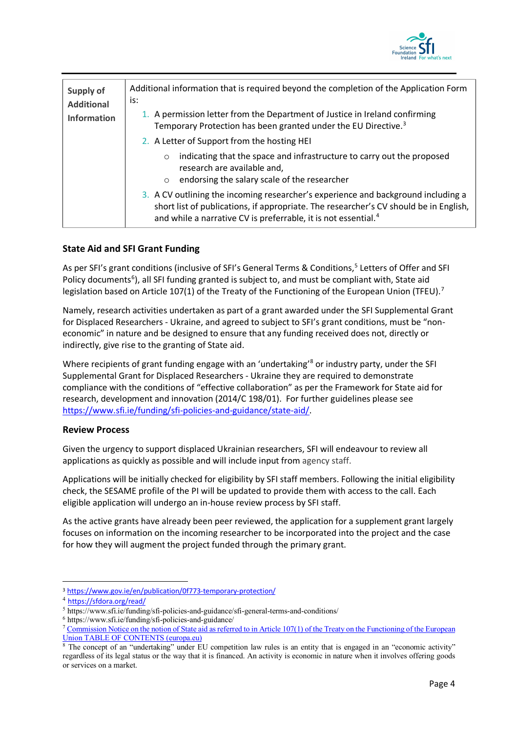

| Supply of<br><b>Additional</b><br><b>Information</b> | Additional information that is required beyond the completion of the Application Form<br>is:<br>1. A permission letter from the Department of Justice in Ireland confirming<br>Temporary Protection has been granted under the EU Directive. <sup>3</sup> |
|------------------------------------------------------|-----------------------------------------------------------------------------------------------------------------------------------------------------------------------------------------------------------------------------------------------------------|
|                                                      | 2. A Letter of Support from the hosting HEI<br>indicating that the space and infrastructure to carry out the proposed<br>$\circ$<br>research are available and,<br>endorsing the salary scale of the researcher<br>$\circ$                                |
|                                                      | 3. A CV outlining the incoming researcher's experience and background including a<br>short list of publications, if appropriate. The researcher's CV should be in English,<br>and while a narrative CV is preferrable, it is not essential. <sup>4</sup>  |

## **State Aid and SFI Grant Funding**

As per SFI's grant conditions (inclusive of SFI's General Terms & Conditions,<sup>[5](#page-3-2)</sup> Letters of Offer and SFI Policy documents<sup>[6](#page-3-3)</sup>), all SFI funding granted is subject to, and must be compliant with, State aid legislation based on Article 10[7](#page-3-4)(1) of the Treaty of the Functioning of the European Union (TFEU).<sup>7</sup>

Namely, research activities undertaken as part of a grant awarded under the SFI Supplemental Grant for Displaced Researchers - Ukraine, and agreed to subject to SFI's grant conditions, must be "noneconomic" in nature and be designed to ensure that any funding received does not, directly or indirectly, give rise to the granting of State aid.

Where recipients of grant funding engage with an 'undertaking'<sup>[8](#page-3-5)</sup> or industry party, under the SFI Supplemental Grant for Displaced Researchers - Ukraine they are required to demonstrate compliance with the conditions of "effective collaboration" as per the Framework for State aid for research, development and innovation (2014/C 198/01). For further guidelines please see [https://www.sfi.ie/funding/sfi-policies-and-guidance/state-aid/.](https://www.sfi.ie/funding/sfi-policies-and-guidance/state-aid/)

## **Review Process**

Given the urgency to support displaced Ukrainian researchers, SFI will endeavour to review all applications as quickly as possible and will include input from agency staff.

Applications will be initially checked for eligibility by SFI staff members. Following the initial eligibility check, the SESAME profile of the PI will be updated to provide them with access to the call. Each eligible application will undergo an in-house review process by SFI staff.

As the active grants have already been peer reviewed, the application for a supplement grant largely focuses on information on the incoming researcher to be incorporated into the project and the case for how they will augment the project funded through the primary grant.

<span id="page-3-4"></span>

<span id="page-3-0"></span><sup>3</sup> <https://www.gov.ie/en/publication/0f773-temporary-protection/>

https://sfdora.org/read/

<span id="page-3-3"></span><span id="page-3-2"></span><span id="page-3-1"></span><sup>&</sup>lt;sup>5</sup> https://www.sfi.ie/funding/sfi-policies-and-guidance/sfi-general-terms-and-conditions/<br><sup>6</sup> https://www.sfi.ie/funding/sfi-policies-and-guidance/<br><sup>7</sup> Commission Notice on the notion of State aid as referred to in Artic [Union TABLE OF CONTENTS \(europa.eu\)](https://eur-lex.europa.eu/legal-content/EN/TXT/PDF/?uri=CELEX:52016XC0719(05)&from=EN)

<span id="page-3-5"></span><sup>&</sup>lt;sup>8</sup> The concept of an "undertaking" under EU competition law rules is an entity that is engaged in an "economic activity" regardless of its legal status or the way that it is financed. An activity is economic in nature when it involves offering goods or services on a market.